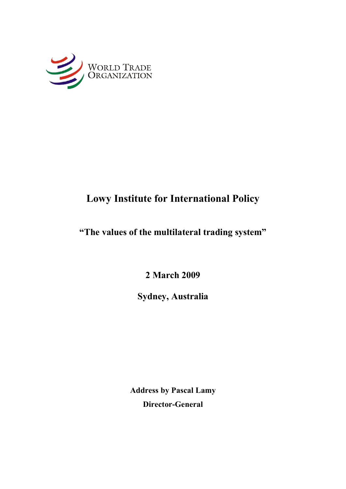

# **Lowy Institute for International Policy**

## **"The values of the multilateral trading system"**

**2 March 2009**

**Sydney, Australia**

**Address by Pascal Lamy Director-General**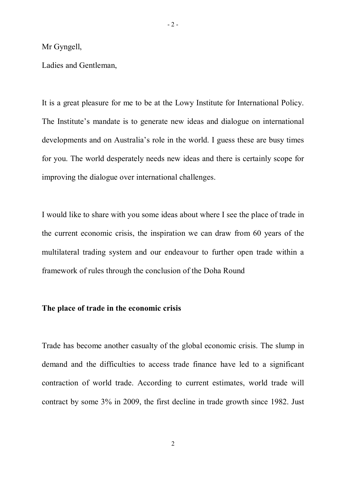Mr Gyngell,

Ladies and Gentleman,

It is a great pleasure for me to be at the Lowy Institute for International Policy. The Institute's mandate is to generate new ideas and dialogue on international developments and on Australia's role in the world. I guess these are busy times for you. The world desperately needs new ideas and there is certainly scope for improving the dialogue over international challenges.

I would like to share with you some ideas about where I see the place of trade in the current economic crisis, the inspiration we can draw from 60 years of the multilateral trading system and our endeavour to further open trade within a framework of rules through the conclusion of the Doha Round

### **The place of trade in the economic crisis**

Trade has become another casualty of the global economic crisis. The slump in demand and the difficulties to access trade finance have led to a significant contraction of world trade. According to current estimates, world trade will contract by some 3% in 2009, the first decline in trade growth since 1982. Just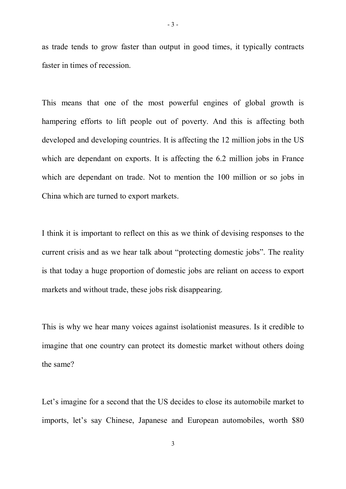as trade tends to grow faster than output in good times, it typically contracts faster in times of recession.

This means that one of the most powerful engines of global growth is hampering efforts to lift people out of poverty. And this is affecting both developed and developing countries. It is affecting the 12 million jobs in the US which are dependant on exports. It is affecting the 6.2 million jobs in France which are dependant on trade. Not to mention the 100 million or so jobs in China which are turned to export markets.

I think it is important to reflect on this as we think of devising responses to the current crisis and as we hear talk about "protecting domestic jobs". The reality is that today a huge proportion of domestic jobs are reliant on access to export markets and without trade, these jobs risk disappearing.

This is why we hear many voices against isolationist measures. Is it credible to imagine that one country can protect its domestic market without others doing the same?

Let's imagine for a second that the US decides to close its automobile market to imports, let's say Chinese, Japanese and European automobiles, worth \$80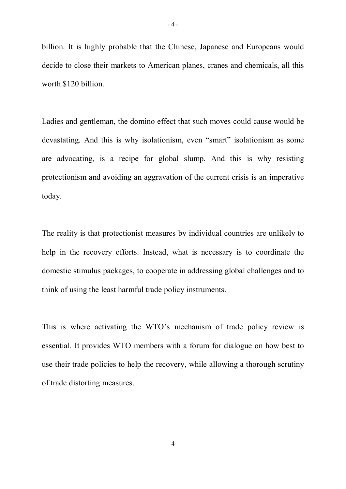billion. It is highly probable that the Chinese, Japanese and Europeans would decide to close their markets to American planes, cranes and chemicals, all this worth \$120 billion.

Ladies and gentleman, the domino effect that such moves could cause would be devastating. And this is why isolationism, even "smart" isolationism as some are advocating, is a recipe for global slump. And this is why resisting protectionism and avoiding an aggravation of the current crisis is an imperative today.

The reality is that protectionist measures by individual countries are unlikely to help in the recovery efforts. Instead, what is necessary is to coordinate the domestic stimulus packages, to cooperate in addressing global challenges and to think of using the least harmful trade policy instruments.

This is where activating the WTO's mechanism of trade policy review is essential. It provides WTO members with a forum for dialogue on how best to use their trade policies to help the recovery, while allowing a thorough scrutiny of trade distorting measures.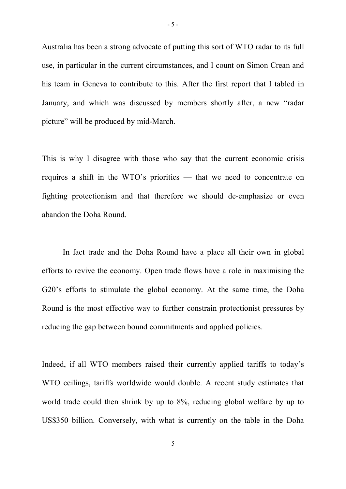Australia has been a strong advocate of putting this sort of WTO radar to its full use, in particular in the current circumstances, and I count on Simon Crean and his team in Geneva to contribute to this. After the first report that I tabled in January, and which was discussed by members shortly after, a new "radar picture" will be produced by mid-March.

This is why I disagree with those who say that the current economic crisis requires a shift in the WTO's priorities — that we need to concentrate on fighting protectionism and that therefore we should de-emphasize or even abandon the Doha Round.

In fact trade and the Doha Round have a place all their own in global efforts to revive the economy. Open trade flows have a role in maximising the G20's efforts to stimulate the global economy. At the same time, the Doha Round is the most effective way to further constrain protectionist pressures by reducing the gap between bound commitments and applied policies.

Indeed, if all WTO members raised their currently applied tariffs to today's WTO ceilings, tariffs worldwide would double. A recent study estimates that world trade could then shrink by up to 8%, reducing global welfare by up to US\$350 billion. Conversely, with what is currently on the table in the Doha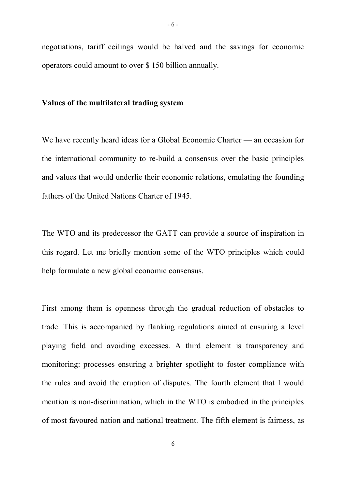#### **Values of the multilateral trading system**

We have recently heard ideas for a Global Economic Charter — an occasion for the international community to re-build a consensus over the basic principles and values that would underlie their economic relations, emulating the founding fathers of the United Nations Charter of 1945.

The WTO and its predecessor the GATT can provide a source of inspiration in this regard. Let me briefly mention some of the WTO principles which could help formulate a new global economic consensus.

First among them is openness through the gradual reduction of obstacles to trade. This is accompanied by flanking regulations aimed at ensuring a level playing field and avoiding excesses. A third element is transparency and monitoring: processes ensuring a brighter spotlight to foster compliance with the rules and avoid the eruption of disputes. The fourth element that I would mention is non-discrimination, which in the WTO is embodied in the principles of most favoured nation and national treatment. The fifth element is fairness, as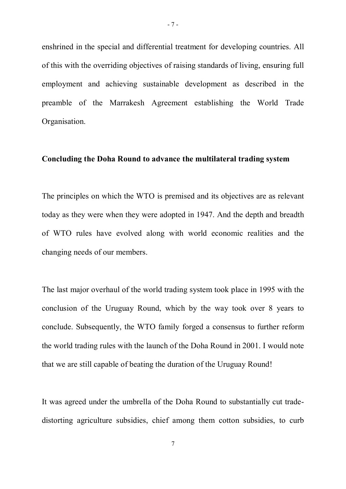enshrined in the special and differential treatment for developing countries. All of this with the overriding objectives of raising standards of living, ensuring full employment and achieving sustainable development as described in the preamble of the Marrakesh Agreement establishing the World Trade Organisation.

### **Concluding the Doha Round to advance the multilateral trading system**

The principles on which the WTO is premised and its objectives are as relevant today as they were when they were adopted in 1947. And the depth and breadth of WTO rules have evolved along with world economic realities and the changing needs of our members.

The last major overhaul of the world trading system took place in 1995 with the conclusion of the Uruguay Round, which by the way took over 8 years to conclude. Subsequently, the WTO family forged a consensus to further reform the world trading rules with the launch of the Doha Round in 2001. I would note that we are still capable of beating the duration of the Uruguay Round!

It was agreed under the umbrella of the Doha Round to substantially cut tradedistorting agriculture subsidies, chief among them cotton subsidies, to curb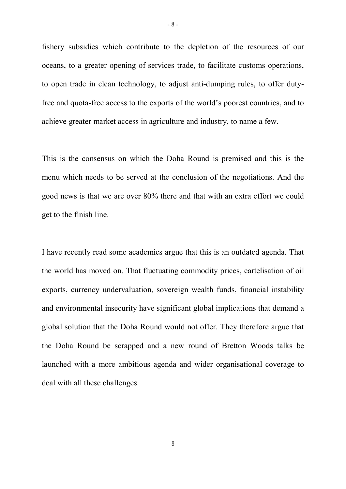fishery subsidies which contribute to the depletion of the resources of our oceans, to a greater opening of services trade, to facilitate customs operations, to open trade in clean technology, to adjust anti-dumping rules, to offer dutyfree and quota-free access to the exports of the world's poorest countries, and to achieve greater market access in agriculture and industry, to name a few.

This is the consensus on which the Doha Round is premised and this is the menu which needs to be served at the conclusion of the negotiations. And the good news is that we are over 80% there and that with an extra effort we could get to the finish line.

I have recently read some academics argue that this is an outdated agenda. That the world has moved on. That fluctuating commodity prices, cartelisation of oil exports, currency undervaluation, sovereign wealth funds, financial instability and environmental insecurity have significant global implications that demand a global solution that the Doha Round would not offer. They therefore argue that the Doha Round be scrapped and a new round of Bretton Woods talks be launched with a more ambitious agenda and wider organisational coverage to deal with all these challenges.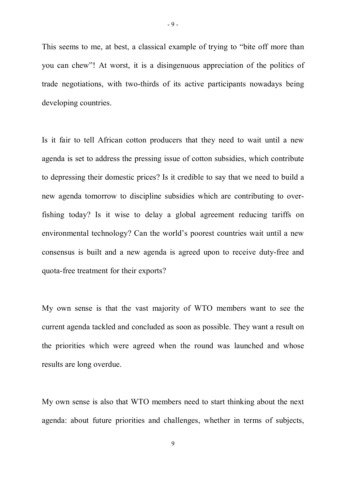This seems to me, at best, a classical example of trying to "bite off more than you can chew"! At worst, it is a disingenuous appreciation of the politics of trade negotiations, with two-thirds of its active participants nowadays being developing countries.

Is it fair to tell African cotton producers that they need to wait until a new agenda is set to address the pressing issue of cotton subsidies, which contribute to depressing their domestic prices? Is it credible to say that we need to build a new agenda tomorrow to discipline subsidies which are contributing to overfishing today? Is it wise to delay a global agreement reducing tariffs on environmental technology? Can the world's poorest countries wait until a new consensus is built and a new agenda is agreed upon to receive duty-free and quota-free treatment for their exports?

My own sense is that the vast majority of WTO members want to see the current agenda tackled and concluded as soon as possible. They want a result on the priorities which were agreed when the round was launched and whose results are long overdue.

My own sense is also that WTO members need to start thinking about the next agenda: about future priorities and challenges, whether in terms of subjects,

 $-9-$